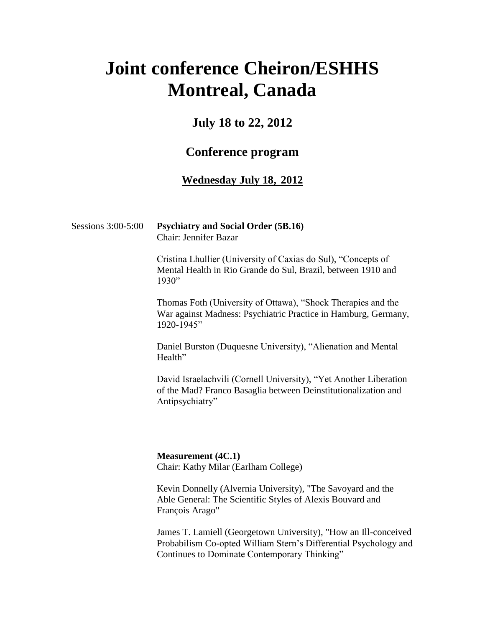# **Joint conference Cheiron/ESHHS Montreal, Canada**

## **July 18 to 22, 2012**

## **Conference program**

#### **Wednesday July 18, 2012**

#### Sessions 3:00-5:00 **Psychiatry and Social Order (5B.16)** Chair: Jennifer Bazar

Cristina Lhullier (University of Caxias do Sul), "Concepts of Mental Health in Rio Grande do Sul, Brazil, between 1910 and 1930"

Thomas Foth (University of Ottawa), "Shock Therapies and the War against Madness: Psychiatric Practice in Hamburg, Germany, 1920-1945"

Daniel Burston (Duquesne University), "Alienation and Mental Health"

David Israelachvili (Cornell University), "Yet Another Liberation of the Mad? Franco Basaglia between Deinstitutionalization and Antipsychiatry"

**Measurement (4C.1)** Chair: Kathy Milar (Earlham College)

Kevin Donnelly (Alvernia University), "The Savoyard and the Able General: The Scientific Styles of Alexis Bouvard and François Arago"

James T. Lamiell (Georgetown University), "How an Ill-conceived Probabilism Co-opted William Stern"s Differential Psychology and Continues to Dominate Contemporary Thinking"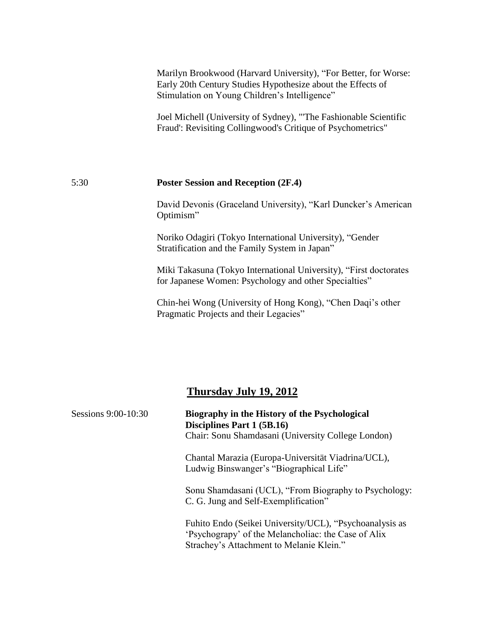|      | Marilyn Brookwood (Harvard University), "For Better, for Worse:<br>Early 20th Century Studies Hypothesize about the Effects of<br>Stimulation on Young Children's Intelligence" |
|------|---------------------------------------------------------------------------------------------------------------------------------------------------------------------------------|
|      | Joel Michell (University of Sydney), "The Fashionable Scientific<br>Fraud: Revisiting Collingwood's Critique of Psychometrics"                                                  |
| 5:30 | <b>Poster Session and Reception (2F.4)</b>                                                                                                                                      |

David Devonis (Graceland University), "Karl Duncker's American Optimism"

Noriko Odagiri (Tokyo International University), "Gender Stratification and the Family System in Japan"

Miki Takasuna (Tokyo International University), "First doctorates for Japanese Women: Psychology and other Specialties"

Chin-hei Wong (University of Hong Kong), "Chen Daqi"s other Pragmatic Projects and their Legacies"

## **Thursday July 19, 2012**

| Sessions 9:00-10:30 | Biography in the History of the Psychological<br>Disciplines Part 1 (5B.16)                                                                                |
|---------------------|------------------------------------------------------------------------------------------------------------------------------------------------------------|
|                     | Chair: Sonu Shamdasani (University College London)                                                                                                         |
|                     | Chantal Marazia (Europa-Universität Viadrina/UCL),<br>Ludwig Binswanger's "Biographical Life"                                                              |
|                     | Sonu Shamdasani (UCL), "From Biography to Psychology:<br>C. G. Jung and Self-Exemplification"                                                              |
|                     | Fuhito Endo (Seikei University/UCL), "Psychoanalysis as<br>'Psychograpy' of the Melancholiac: the Case of Alix<br>Strachey's Attachment to Melanie Klein." |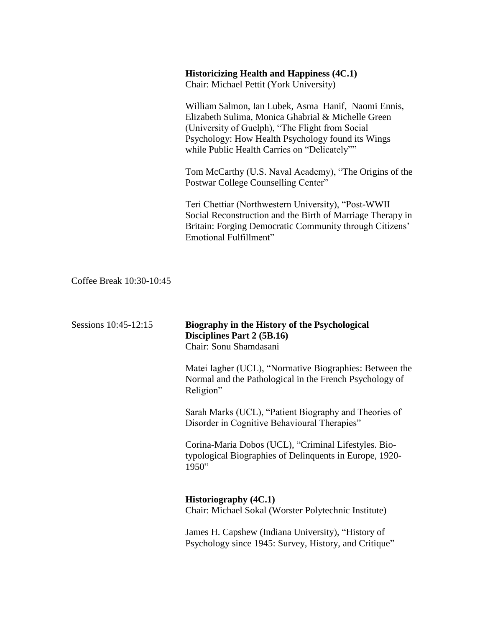#### **Historicizing Health and Happiness (4C.1)**

Chair: Michael Pettit (York University)

William Salmon, Ian Lubek, Asma Hanif, Naomi Ennis, Elizabeth Sulima, Monica Ghabrial & Michelle Green (University of Guelph), "The Flight from Social Psychology: How Health Psychology found its Wings while Public Health Carries on "Delicately""

Tom McCarthy (U.S. Naval Academy), "The Origins of the Postwar College Counselling Center"

Teri Chettiar (Northwestern University), "Post-WWII Social Reconstruction and the Birth of Marriage Therapy in Britain: Forging Democratic Community through Citizens' Emotional Fulfillment"

Coffee Break 10:30-10:45

| Sessions 10:45-12:15 | Biography in the History of the Psychological<br>Disciplines Part 2 (5B.16)<br>Chair: Sonu Shamdasani                           |
|----------------------|---------------------------------------------------------------------------------------------------------------------------------|
|                      | Matei Iagher (UCL), "Normative Biographies: Between the<br>Normal and the Pathological in the French Psychology of<br>Religion" |
|                      | Sarah Marks (UCL), "Patient Biography and Theories of<br>Disorder in Cognitive Behavioural Therapies"                           |
|                      | Corina-Maria Dobos (UCL), "Criminal Lifestyles. Bio-<br>typological Biographies of Delinquents in Europe, 1920-<br>1950"        |
|                      | <b>Historiography (4C.1)</b><br>Chair: Michael Sokal (Worster Polytechnic Institute)                                            |
|                      | James H. Capshew (Indiana University), "History of<br>Psychology since 1945: Survey, History, and Critique"                     |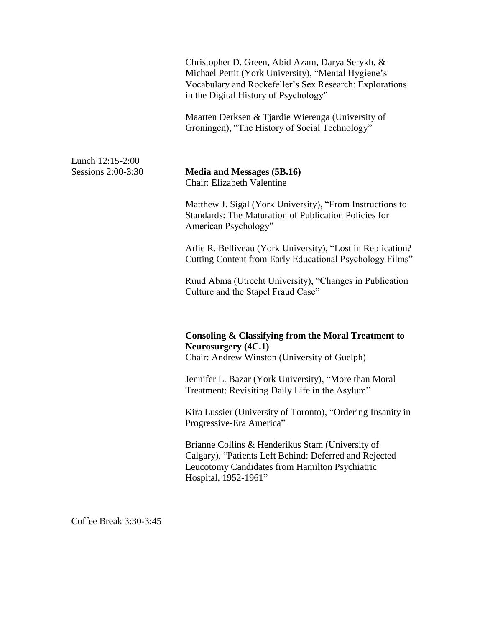| Christopher D. Green, Abid Azam, Darya Serykh, &<br>Michael Pettit (York University), "Mental Hygiene's<br>Vocabulary and Rockefeller's Sex Research: Explorations<br>in the Digital History of Psychology" |
|-------------------------------------------------------------------------------------------------------------------------------------------------------------------------------------------------------------|
| Maarten Derksen & Tjardie Wierenga (University of<br>Groningen), "The History of Social Technology"                                                                                                         |
| Media and Messages (5B.16)<br>Chair: Elizabeth Valentine                                                                                                                                                    |
| Matthew J. Sigal (York University), "From Instructions to<br><b>Standards: The Maturation of Publication Policies for</b><br>American Psychology"                                                           |
| Arlie R. Belliveau (York University), "Lost in Replication?<br>Cutting Content from Early Educational Psychology Films"                                                                                     |
| Ruud Abma (Utrecht University), "Changes in Publication<br>Culture and the Stapel Fraud Case"                                                                                                               |
| Consoling & Classifying from the Moral Treatment to<br><b>Neurosurgery</b> (4C.1)<br>Chair: Andrew Winston (University of Guelph)                                                                           |
| Jennifer L. Bazar (York University), "More than Moral<br>Treatment: Revisiting Daily Life in the Asylum"                                                                                                    |
| Kira Lussier (University of Toronto), "Ordering Insanity in<br>Progressive-Era America"                                                                                                                     |
| Brianne Collins & Henderikus Stam (University of<br>Calgary), "Patients Left Behind: Deferred and Rejected<br>Leucotomy Candidates from Hamilton Psychiatric<br>Hospital, 1952-1961"                        |
|                                                                                                                                                                                                             |

Coffee Break 3:30-3:45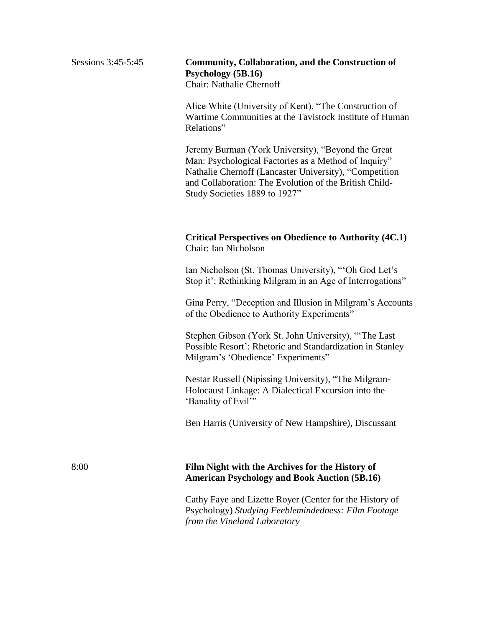#### Sessions 3:45-5:45 **Community, Collaboration, and the Construction of Psychology (5B.16)** Chair: Nathalie Chernoff

Alice White (University of Kent), "The Construction of Wartime Communities at the Tavistock Institute of Human Relations"

Jeremy Burman (York University), "Beyond the Great Man: Psychological Factories as a Method of Inquiry" Nathalie Chernoff (Lancaster University), "Competition and Collaboration: The Evolution of the British Child- Study Societies 1889 to 1927"

#### **Critical Perspectives on Obedience to Authority (4C.1)** Chair: Ian Nicholson

Ian Nicholson (St. Thomas University), "'Oh God Let's Stop it': Rethinking Milgram in an Age of Interrogations"

Gina Perry, "Deception and Illusion in Milgram"s Accounts of the Obedience to Authority Experiments"

Stephen Gibson (York St. John University), ""The Last Possible Resort': Rhetoric and Standardization in Stanley Milgram's 'Obedience' Experiments"

Nestar Russell (Nipissing University), "The Milgram-Holocaust Linkage: A Dialectical Excursion into the 'Banality of Evil'"

Ben Harris (University of New Hampshire), Discussant

#### 8:00 **Film Night with the Archives for the History of American Psychology and Book Auction (5B.16)**

Cathy Faye and Lizette Royer (Center for the History of Psychology) *Studying Feeblemindedness: Film Footage from the Vineland Laboratory*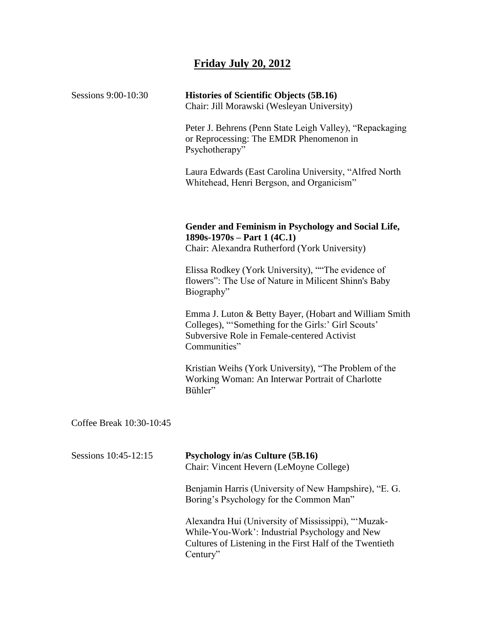## **Friday July 20, 2012**

| Sessions 9:00-10:30      | <b>Histories of Scientific Objects (5B.16)</b><br>Chair: Jill Morawski (Wesleyan University)                                                                                 |
|--------------------------|------------------------------------------------------------------------------------------------------------------------------------------------------------------------------|
|                          | Peter J. Behrens (Penn State Leigh Valley), "Repackaging<br>or Reprocessing: The EMDR Phenomenon in<br>Psychotherapy"                                                        |
|                          | Laura Edwards (East Carolina University, "Alfred North<br>Whitehead, Henri Bergson, and Organicism"                                                                          |
|                          | Gender and Feminism in Psychology and Social Life,<br>$1890s-1970s - Part 1 (4C.1)$<br>Chair: Alexandra Rutherford (York University)                                         |
|                          | Elissa Rodkey (York University), "The evidence of<br>flowers": The Use of Nature in Milicent Shinn's Baby<br>Biography"                                                      |
|                          | Emma J. Luton & Betty Bayer, (Hobart and William Smith<br>Colleges), "Something for the Girls:' Girl Scouts'<br>Subversive Role in Female-centered Activist<br>Communities"  |
|                          | Kristian Weihs (York University), "The Problem of the<br>Working Woman: An Interwar Portrait of Charlotte<br>Bühler"                                                         |
| Coffee Break 10:30-10:45 |                                                                                                                                                                              |
| Sessions 10:45-12:15     | <b>Psychology in/as Culture (5B.16)</b><br>Chair: Vincent Hevern (LeMoyne College)                                                                                           |
|                          | Benjamin Harris (University of New Hampshire), "E. G.<br>Boring's Psychology for the Common Man"                                                                             |
|                          | Alexandra Hui (University of Mississippi), "Muzak-<br>While-You-Work': Industrial Psychology and New<br>Cultures of Listening in the First Half of the Twentieth<br>Century" |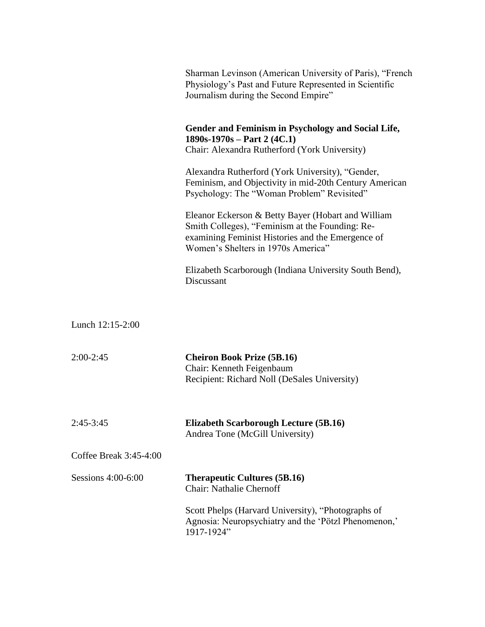|                        | Sharman Levinson (American University of Paris), "French<br>Physiology's Past and Future Represented in Scientific<br>Journalism during the Second Empire"                                       |
|------------------------|--------------------------------------------------------------------------------------------------------------------------------------------------------------------------------------------------|
|                        | Gender and Feminism in Psychology and Social Life,<br>$1890s-1970s - Part 2 (4C.1)$<br>Chair: Alexandra Rutherford (York University)                                                             |
|                        | Alexandra Rutherford (York University), "Gender,<br>Feminism, and Objectivity in mid-20th Century American<br>Psychology: The "Woman Problem" Revisited"                                         |
|                        | Eleanor Eckerson & Betty Bayer (Hobart and William<br>Smith Colleges), "Feminism at the Founding: Re-<br>examining Feminist Histories and the Emergence of<br>Women's Shelters in 1970s America" |
|                        | Elizabeth Scarborough (Indiana University South Bend),<br>Discussant                                                                                                                             |
| Lunch 12:15-2:00       |                                                                                                                                                                                                  |
|                        |                                                                                                                                                                                                  |
| $2:00-2:45$            | <b>Cheiron Book Prize (5B.16)</b><br>Chair: Kenneth Feigenbaum<br>Recipient: Richard Noll (DeSales University)                                                                                   |
| $2:45-3:45$            | <b>Elizabeth Scarborough Lecture (5B.16)</b><br>Andrea Tone (McGill University)                                                                                                                  |
| Coffee Break 3:45-4:00 |                                                                                                                                                                                                  |
| Sessions 4:00-6:00     | <b>Therapeutic Cultures (5B.16)</b><br><b>Chair: Nathalie Chernoff</b>                                                                                                                           |
|                        | Scott Phelps (Harvard University), "Photographs of<br>Agnosia: Neuropsychiatry and the 'Pötzl Phenomenon,'<br>1917-1924"                                                                         |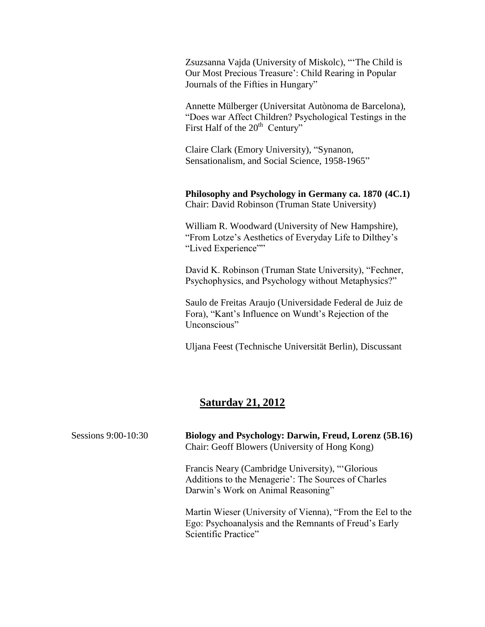Zsuzsanna Vajda (University of Miskolc), ""The Child is Our Most Precious Treasure": Child Rearing in Popular Journals of the Fifties in Hungary"

Annette Mülberger (Universitat Autònoma de Barcelona), "Does war Affect Children? Psychological Testings in the First Half of the  $20<sup>th</sup>$  Century"

Claire Clark (Emory University), "Synanon, Sensationalism, and Social Science, 1958-1965"

**Philosophy and Psychology in Germany ca. 1870 (4C.1)** Chair: David Robinson (Truman State University)

William R. Woodward (University of New Hampshire), "From Lotze"s Aesthetics of Everyday Life to Dilthey"s "Lived Experience""

David K. Robinson (Truman State University), "Fechner, Psychophysics, and Psychology without Metaphysics?"

Saulo de Freitas Araujo (Universidade Federal de Juiz de Fora), "Kant"s Influence on Wundt"s Rejection of the Unconscious"

Uljana Feest (Technische Universität Berlin), Discussant

### **Saturday 21, 2012**

| Sessions 9:00-10:30 | Biology and Psychology: Darwin, Freud, Lorenz (5B.16)<br>Chair: Geoff Blowers (University of Hong Kong)                                      |
|---------------------|----------------------------------------------------------------------------------------------------------------------------------------------|
|                     | Francis Neary (Cambridge University), "Glorious<br>Additions to the Menagerie': The Sources of Charles<br>Darwin's Work on Animal Reasoning" |
|                     | Martin Wieser (University of Vienna), "From the Eel to the<br>Ego: Psychoanalysis and the Remnants of Freud's Early<br>Scientific Practice"  |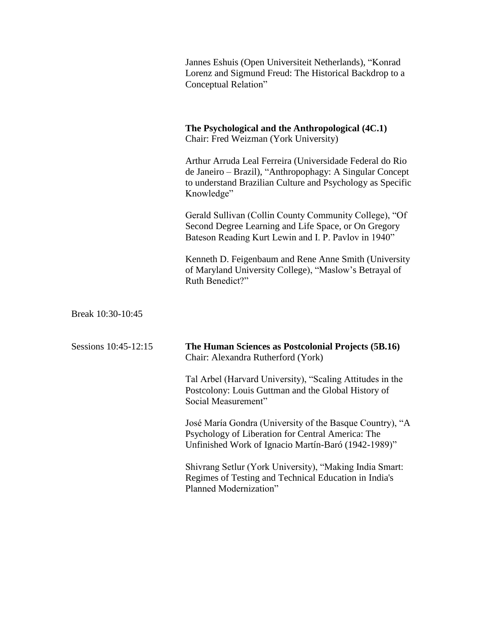| Jannes Eshuis (Open Universiteit Netherlands), "Konrad |
|--------------------------------------------------------|
| Lorenz and Sigmund Freud: The Historical Backdrop to a |
| Conceptual Relation"                                   |

|                      | The Psychological and the Anthropological (4C.1)<br>Chair: Fred Weizman (York University)                                                                                                        |
|----------------------|--------------------------------------------------------------------------------------------------------------------------------------------------------------------------------------------------|
|                      | Arthur Arruda Leal Ferreira (Universidade Federal do Rio<br>de Janeiro – Brazil), "Anthropophagy: A Singular Concept<br>to understand Brazilian Culture and Psychology as Specific<br>Knowledge" |
|                      | Gerald Sullivan (Collin County Community College), "Of<br>Second Degree Learning and Life Space, or On Gregory<br>Bateson Reading Kurt Lewin and I. P. Pavlov in 1940"                           |
|                      | Kenneth D. Feigenbaum and Rene Anne Smith (University<br>of Maryland University College), "Maslow's Betrayal of<br>Ruth Benedict?"                                                               |
| Break 10:30-10:45    |                                                                                                                                                                                                  |
| Sessions 10:45-12:15 | The Human Sciences as Postcolonial Projects (5B.16)<br>Chair: Alexandra Rutherford (York)                                                                                                        |
|                      | Tal Arbel (Harvard University), "Scaling Attitudes in the<br>Postcolony: Louis Guttman and the Global History of<br>Social Measurement"                                                          |
|                      | José María Gondra (University of the Basque Country), "A<br>Psychology of Liberation for Central America: The<br>Unfinished Work of Ignacio Martín-Baró (1942-1989)"                             |
|                      | Shivrang Setlur (York University), "Making India Smart:<br>Regimes of Testing and Technical Education in India's                                                                                 |

Planned Modernization"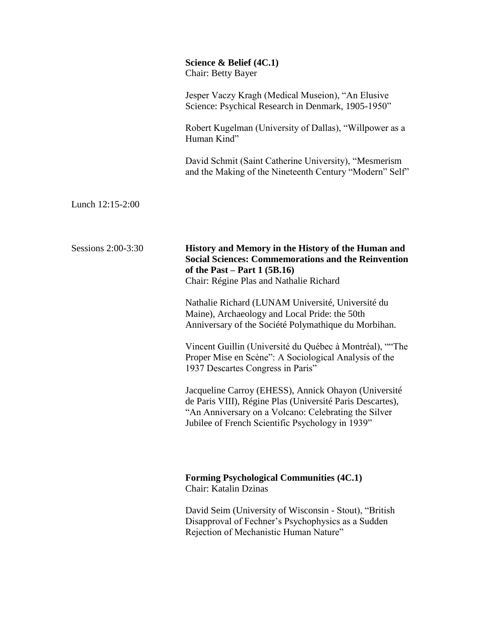|                    | Science $\&$ Belief (4C.1)<br><b>Chair: Betty Bayer</b>                                                                                                                                                                       |
|--------------------|-------------------------------------------------------------------------------------------------------------------------------------------------------------------------------------------------------------------------------|
|                    | Jesper Vaczy Kragh (Medical Museion), "An Elusive<br>Science: Psychical Research in Denmark, 1905-1950"                                                                                                                       |
|                    | Robert Kugelman (University of Dallas), "Willpower as a<br>Human Kind"                                                                                                                                                        |
|                    | David Schmit (Saint Catherine University), "Mesmerism<br>and the Making of the Nineteenth Century "Modern" Self"                                                                                                              |
| Lunch 12:15-2:00   |                                                                                                                                                                                                                               |
| Sessions 2:00-3:30 | History and Memory in the History of the Human and<br><b>Social Sciences: Commemorations and the Reinvention</b><br>of the Past – Part $1(5B.16)$<br>Chair: Régine Plas and Nathalie Richard                                  |
|                    | Nathalie Richard (LUNAM Université, Université du<br>Maine), Archaeology and Local Pride: the 50th<br>Anniversary of the Société Polymathique du Morbihan.                                                                    |
|                    | Vincent Guillin (Université du Québec à Montréal), "The<br>Proper Mise en Scène": A Sociological Analysis of the<br>1937 Descartes Congress in Paris"                                                                         |
|                    | Jacqueline Carroy (EHESS), Annick Ohayon (Université<br>de Paris VIII), Régine Plas (Université Paris Descartes),<br>'An Anniversary on a Volcano: Celebrating the Silver<br>Jubilee of French Scientific Psychology in 1939" |
|                    | <b>Forming Psychological Communities (4C.1)</b><br>Chair: Katalin Dzinas                                                                                                                                                      |
|                    | David Seim (University of Wisconsin - Stout), "British"<br>Disapproval of Fechner's Psychophysics as a Sudden<br>Rejection of Mechanistic Human Nature"                                                                       |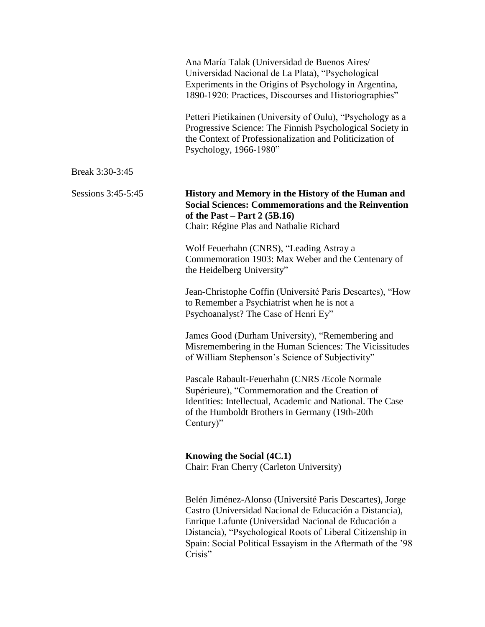|                    | Ana María Talak (Universidad de Buenos Aires/<br>Universidad Nacional de La Plata), "Psychological<br>Experiments in the Origins of Psychology in Argentina,<br>1890-1920: Practices, Discourses and Historiographies"                                                                                               |
|--------------------|----------------------------------------------------------------------------------------------------------------------------------------------------------------------------------------------------------------------------------------------------------------------------------------------------------------------|
|                    | Petteri Pietikainen (University of Oulu), "Psychology as a<br>Progressive Science: The Finnish Psychological Society in<br>the Context of Professionalization and Politicization of<br>Psychology, 1966-1980"                                                                                                        |
| Break 3:30-3:45    |                                                                                                                                                                                                                                                                                                                      |
| Sessions 3:45-5:45 | History and Memory in the History of the Human and<br><b>Social Sciences: Commemorations and the Reinvention</b><br>of the Past – Part 2 $(5B.16)$<br>Chair: Régine Plas and Nathalie Richard                                                                                                                        |
|                    | Wolf Feuerhahn (CNRS), "Leading Astray a<br>Commemoration 1903: Max Weber and the Centenary of<br>the Heidelberg University"                                                                                                                                                                                         |
|                    | Jean-Christophe Coffin (Université Paris Descartes), "How<br>to Remember a Psychiatrist when he is not a<br>Psychoanalyst? The Case of Henri Ey"                                                                                                                                                                     |
|                    | James Good (Durham University), "Remembering and<br>Misremembering in the Human Sciences: The Vicissitudes<br>of William Stephenson's Science of Subjectivity"                                                                                                                                                       |
|                    | Pascale Rabault-Feuerhahn (CNRS / Ecole Normale<br>Supérieure), "Commemoration and the Creation of<br>Identities: Intellectual, Academic and National. The Case<br>of the Humboldt Brothers in Germany (19th-20th<br>Century)"                                                                                       |
|                    | Knowing the Social (4C.1)<br>Chair: Fran Cherry (Carleton University)                                                                                                                                                                                                                                                |
|                    | Belén Jiménez-Alonso (Université Paris Descartes), Jorge<br>Castro (Universidad Nacional de Educación a Distancia),<br>Enrique Lafunte (Universidad Nacional de Educación a<br>Distancia), "Psychological Roots of Liberal Citizenship in<br>Spain: Social Political Essayism in the Aftermath of the '98<br>Crisis" |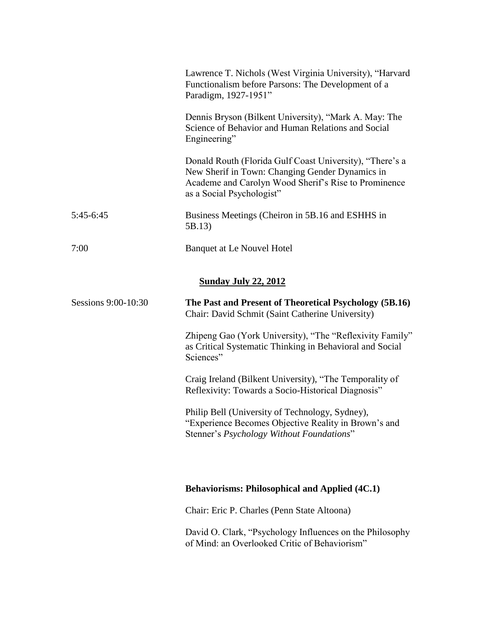|                             | Lawrence T. Nichols (West Virginia University), "Harvard<br>Functionalism before Parsons: The Development of a<br>Paradigm, 1927-1951"                                                           |  |
|-----------------------------|--------------------------------------------------------------------------------------------------------------------------------------------------------------------------------------------------|--|
|                             | Dennis Bryson (Bilkent University), "Mark A. May: The<br>Science of Behavior and Human Relations and Social<br>Engineering"                                                                      |  |
|                             | Donald Routh (Florida Gulf Coast University), "There's a<br>New Sherif in Town: Changing Gender Dynamics in<br>Academe and Carolyn Wood Sherif's Rise to Prominence<br>as a Social Psychologist" |  |
| $5:45-6:45$                 | Business Meetings (Cheiron in 5B.16 and ESHHS in<br>5B.13)                                                                                                                                       |  |
| 7:00                        | <b>Banquet at Le Nouvel Hotel</b>                                                                                                                                                                |  |
| <b>Sunday July 22, 2012</b> |                                                                                                                                                                                                  |  |
| Sessions 9:00-10:30         | The Past and Present of Theoretical Psychology (5B.16)<br>Chair: David Schmit (Saint Catherine University)                                                                                       |  |
|                             | Zhipeng Gao (York University), "The "Reflexivity Family"<br>as Critical Systematic Thinking in Behavioral and Social<br>Sciences"                                                                |  |
|                             | Craig Ireland (Bilkent University), "The Temporality of<br>Reflexivity: Towards a Socio-Historical Diagnosis"                                                                                    |  |
|                             | Philip Bell (University of Technology, Sydney),<br>Experience Becomes Objective Reality in Brown's and<br>Stenner's Psychology Without Foundations"                                              |  |
|                             |                                                                                                                                                                                                  |  |
|                             | <b>Behaviorisms: Philosophical and Applied (4C.1)</b>                                                                                                                                            |  |
|                             | Chair: Eric P. Charles (Penn State Altoona)                                                                                                                                                      |  |
|                             | David O. Clark, "Psychology Influences on the Philosophy<br>of Mind: an Overlooked Critic of Behaviorism"                                                                                        |  |